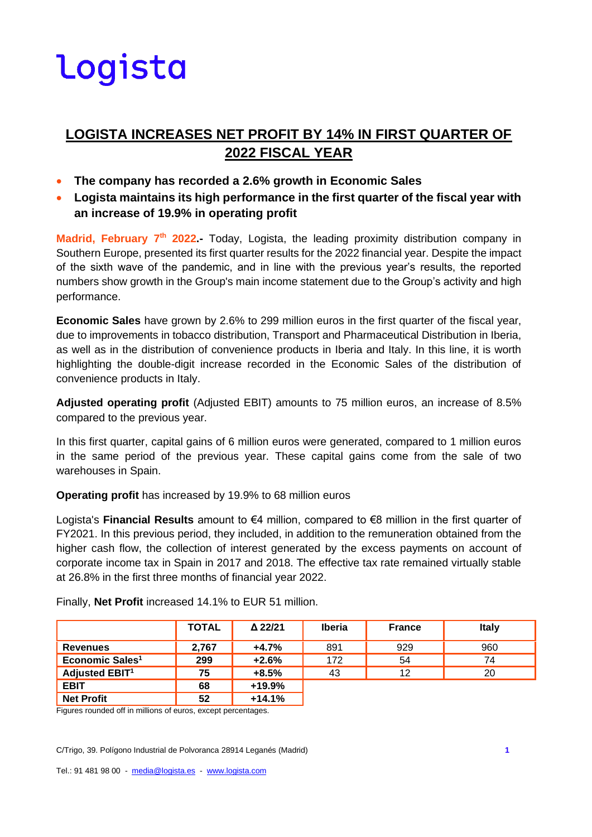### **LOGISTA INCREASES NET PROFIT BY 14% IN FIRST QUARTER OF 2022 FISCAL YEAR**

- **The company has recorded a 2.6% growth in Economic Sales**
- **Logista maintains its high performance in the first quarter of the fiscal year with an increase of 19.9% in operating profit**

**Madrid, February 7th 2022.-** Today, Logista, the leading proximity distribution company in Southern Europe, presented its first quarter results for the 2022 financial year. Despite the impact of the sixth wave of the pandemic, and in line with the previous year's results, the reported numbers show growth in the Group's main income statement due to the Group's activity and high performance.

**Economic Sales** have grown by 2.6% to 299 million euros in the first quarter of the fiscal year, due to improvements in tobacco distribution, Transport and Pharmaceutical Distribution in Iberia, as well as in the distribution of convenience products in Iberia and Italy. In this line, it is worth highlighting the double-digit increase recorded in the Economic Sales of the distribution of convenience products in Italy.

**Adjusted operating profit** (Adjusted EBIT) amounts to 75 million euros, an increase of 8.5% compared to the previous year.

In this first quarter, capital gains of 6 million euros were generated, compared to 1 million euros in the same period of the previous year. These capital gains come from the sale of two warehouses in Spain.

**Operating profit** has increased by 19.9% to 68 million euros

Logista's **Financial Results** amount to €4 million, compared to €8 million in the first quarter of FY2021. In this previous period, they included, in addition to the remuneration obtained from the higher cash flow, the collection of interest generated by the excess payments on account of corporate income tax in Spain in 2017 and 2018. The effective tax rate remained virtually stable at 26.8% in the first three months of financial year 2022.

|                             | <b>TOTAL</b> | Δ 22/21  | <b>Iberia</b> | <b>France</b> | <b>Italy</b> |
|-----------------------------|--------------|----------|---------------|---------------|--------------|
| <b>Revenues</b>             | 2.767        | $+4.7%$  | 891           | 929           | 960          |
| Economic Sales <sup>1</sup> | 299          | $+2.6%$  | 172           | 54            | 74           |
| <b>Adjusted EBIT1</b>       | 75           | $+8.5%$  | 43            | 12            | 20           |
| <b>EBIT</b>                 | 68           | $+19.9%$ |               |               |              |
| <b>Net Profit</b>           | 52           | $+14.1%$ |               |               |              |

Finally, **Net Profit** increased 14.1% to EUR 51 million.

Figures rounded off in millions of euros, except percentages.

C/Trigo, 39. Polígono Industrial de Polvoranca 28914 Leganés (Madrid) **1**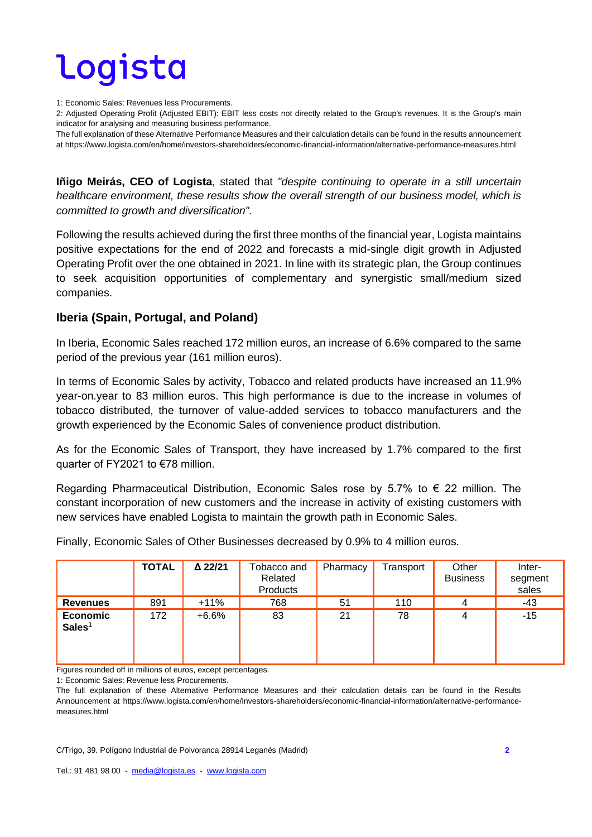1: Economic Sales: Revenues less Procurements.

2: Adjusted Operating Profit (Adjusted EBIT): EBIT less costs not directly related to the Group's revenues. It is the Group's main indicator for analysing and measuring business performance.

The full explanation of these Alternative Performance Measures and their calculation details can be found in the results announcement at https://www.logista.com/en/home/investors-shareholders/economic-financial-information/alternative-performance-measures.html

**Iñigo Meirás, CEO of Logista**, stated that *"despite continuing to operate in a still uncertain healthcare environment, these results show the overall strength of our business model, which is committed to growth and diversification".* 

Following the results achieved during the first three months of the financial year, Logista maintains positive expectations for the end of 2022 and forecasts a mid-single digit growth in Adjusted Operating Profit over the one obtained in 2021. In line with its strategic plan, the Group continues to seek acquisition opportunities of complementary and synergistic small/medium sized companies.

### **Iberia (Spain, Portugal, and Poland)**

In Iberia, Economic Sales reached 172 million euros, an increase of 6.6% compared to the same period of the previous year (161 million euros).

In terms of Economic Sales by activity, Tobacco and related products have increased an 11.9% year-on.year to 83 million euros. This high performance is due to the increase in volumes of tobacco distributed, the turnover of value-added services to tobacco manufacturers and the growth experienced by the Economic Sales of convenience product distribution.

As for the Economic Sales of Transport, they have increased by 1.7% compared to the first quarter of FY2021 to €78 million.

Regarding Pharmaceutical Distribution, Economic Sales rose by 5.7% to  $\epsilon$  22 million. The constant incorporation of new customers and the increase in activity of existing customers with new services have enabled Logista to maintain the growth path in Economic Sales.

|                                       | <b>TOTAL</b> | △ 22/21 | Tobacco and<br>Related<br>Products | Pharmacy | Transport | Other<br><b>Business</b> | Inter-<br>segment<br>sales |
|---------------------------------------|--------------|---------|------------------------------------|----------|-----------|--------------------------|----------------------------|
| <b>Revenues</b>                       | 891          | $+11%$  | 768                                | 51       | 110       |                          | -43                        |
| <b>Economic</b><br>Sales <sup>1</sup> | 172          | $+6.6%$ | 83                                 | 21       | 78        | 4                        | $-15$                      |

Finally, Economic Sales of Other Businesses decreased by 0.9% to 4 million euros.

Figures rounded off in millions of euros, except percentages.

1: Economic Sales: Revenue less Procurements.

The full explanation of these Alternative Performance Measures and their calculation details can be found in the Results Announcement at https://www.logista.com/en/home/investors-shareholders/economic-financial-information/alternative-performancemeasures.html

C/Trigo, 39. Polígono Industrial de Polvoranca 28914 Leganés (Madrid) **2**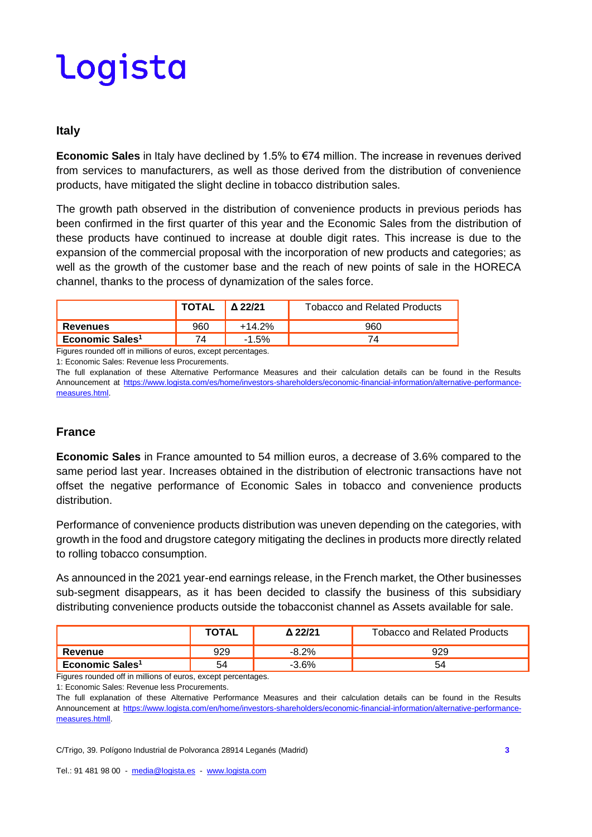#### **Italy**

**Economic Sales** in Italy have declined by 1.5% to €74 million. The increase in revenues derived from services to manufacturers, as well as those derived from the distribution of convenience products, have mitigated the slight decline in tobacco distribution sales.

The growth path observed in the distribution of convenience products in previous periods has been confirmed in the first quarter of this year and the Economic Sales from the distribution of these products have continued to increase at double digit rates. This increase is due to the expansion of the commercial proposal with the incorporation of new products and categories; as well as the growth of the customer base and the reach of new points of sale in the HORECA channel, thanks to the process of dynamization of the sales force.

|                             | <b>TOTAL</b> | 22/21 | Tobacco and Related Products |
|-----------------------------|--------------|-------|------------------------------|
| <b>Revenues</b>             | 960          |       |                              |
| Economic Sales <sup>1</sup> |              |       |                              |

Figures rounded off in millions of euros, except percentages.

1: Economic Sales: Revenue less Procurements.

The full explanation of these Alternative Performance Measures and their calculation details can be found in the Results Announcement at [https://www.logista.com/es/home/investors-shareholders/economic-financial-information/alternative-performance](https://www.logista.com/es/home/investors-shareholders/economic-financial-information/alternative-performance-measures.html)[measures.html.](https://www.logista.com/es/home/investors-shareholders/economic-financial-information/alternative-performance-measures.html)

### **France**

**Economic Sales** in France amounted to 54 million euros, a decrease of 3.6% compared to the same period last year. Increases obtained in the distribution of electronic transactions have not offset the negative performance of Economic Sales in tobacco and convenience products distribution.

Performance of convenience products distribution was uneven depending on the categories, with growth in the food and drugstore category mitigating the declines in products more directly related to rolling tobacco consumption.

As announced in the 2021 year-end earnings release, in the French market, the Other businesses sub-segment disappears, as it has been decided to classify the business of this subsidiary distributing convenience products outside the tobacconist channel as Assets available for sale.

|                             | <b>TOTAL</b> | ለ 22/21 | <b>Tobacco and Related Products</b> |
|-----------------------------|--------------|---------|-------------------------------------|
| Revenue                     | 929          | 20/     |                                     |
| Economic Sales <sup>1</sup> | 54           | -3.6%   |                                     |

Figures rounded off in millions of euros, except percentages.

1: Economic Sales: Revenue less Procurements.

The full explanation of these Alternative Performance Measures and their calculation details can be found in the Results Announcement at [https://www.logista.com/en/home/investors-shareholders/economic-financial-information/alternative-performance](https://www.logista.com/es/home/investors-shareholders/economic-financial-information/alternative-performance-measures.html)[measures.htmll.](https://www.logista.com/es/home/investors-shareholders/economic-financial-information/alternative-performance-measures.html)

C/Trigo, 39. Polígono Industrial de Polvoranca 28914 Leganés (Madrid) **3**